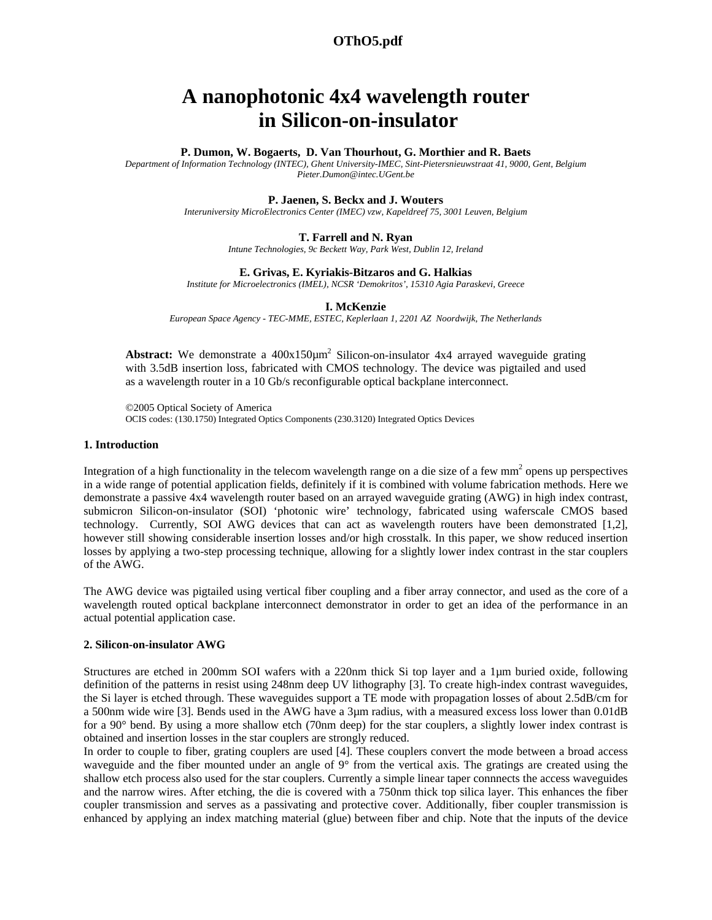# **OThO5.pdf 1720**

# **A nanophotonic 4x4 wavelength router in Silicon-on-insulator**

## **P. Dumon, W. Bogaerts, D. Van Thourhout, G. Morthier and R. Baets**

*Department of Information Technology (INTEC), Ghent University-IMEC, Sint-Pietersnieuwstraat 41, 9000, Gent, Belgium Pieter.Dumon@intec.UGent.be* 

## **P. Jaenen, S. Beckx and J. Wouters**

*Interuniversity MicroElectronics Center (IMEC) vzw, Kapeldreef 75, 3001 Leuven, Belgium* 

#### **T. Farrell and N. Ryan**

*Intune Technologies, 9c Beckett Way, Park West, Dublin 12, Ireland* 

## **E. Grivas, E. Kyriakis-Bitzaros and G. Halkias**

*Institute for Microelectronics (IMEL), NCSR 'Demokritos', 15310 Agia Paraskevi, Greece* 

#### **I. McKenzie**

*European Space Agency - TEC-MME, ESTEC, Keplerlaan 1, 2201 AZ Noordwijk, The Netherlands* 

**Abstract:** We demonstrate a 400x150 $\mu$ m<sup>2</sup> Silicon-on-insulator 4x4 arrayed waveguide grating with 3.5dB insertion loss, fabricated with CMOS technology. The device was pigtailed and used as a wavelength router in a 10 Gb/s reconfigurable optical backplane interconnect.

©2005 Optical Society of America OCIS codes: (130.1750) Integrated Optics Components (230.3120) Integrated Optics Devices

# **1. Introduction**

Integration of a high functionality in the telecom wavelength range on a die size of a few mm<sup>2</sup> opens up perspectives in a wide range of potential application fields, definitely if it is combined with volume fabrication methods. Here we demonstrate a passive 4x4 wavelength router based on an arrayed waveguide grating (AWG) in high index contrast, submicron Silicon-on-insulator (SOI) 'photonic wire' technology, fabricated using waferscale CMOS based technology. Currently, SOI AWG devices that can act as wavelength routers have been demonstrated [1,2], however still showing considerable insertion losses and/or high crosstalk. In this paper, we show reduced insertion losses by applying a two-step processing technique, allowing for a slightly lower index contrast in the star couplers of the AWG.

The AWG device was pigtailed using vertical fiber coupling and a fiber array connector, and used as the core of a wavelength routed optical backplane interconnect demonstrator in order to get an idea of the performance in an actual potential application case.

# **2. Silicon-on-insulator AWG**

Structures are etched in 200mm SOI wafers with a 220nm thick Si top layer and a 1µm buried oxide, following definition of the patterns in resist using 248nm deep UV lithography [3]. To create high-index contrast waveguides, the Si layer is etched through. These waveguides support a TE mode with propagation losses of about 2.5dB/cm for a 500nm wide wire [3]. Bends used in the AWG have a 3µm radius, with a measured excess loss lower than 0.01dB for a 90° bend. By using a more shallow etch (70nm deep) for the star couplers, a slightly lower index contrast is obtained and insertion losses in the star couplers are strongly reduced.

In order to couple to fiber, grating couplers are used [4]. These couplers convert the mode between a broad access waveguide and the fiber mounted under an angle of 9° from the vertical axis. The gratings are created using the shallow etch process also used for the star couplers. Currently a simple linear taper connnects the access waveguides and the narrow wires. After etching, the die is covered with a 750nm thick top silica layer. This enhances the fiber coupler transmission and serves as a passivating and protective cover. Additionally, fiber coupler transmission is enhanced by applying an index matching material (glue) between fiber and chip. Note that the inputs of the device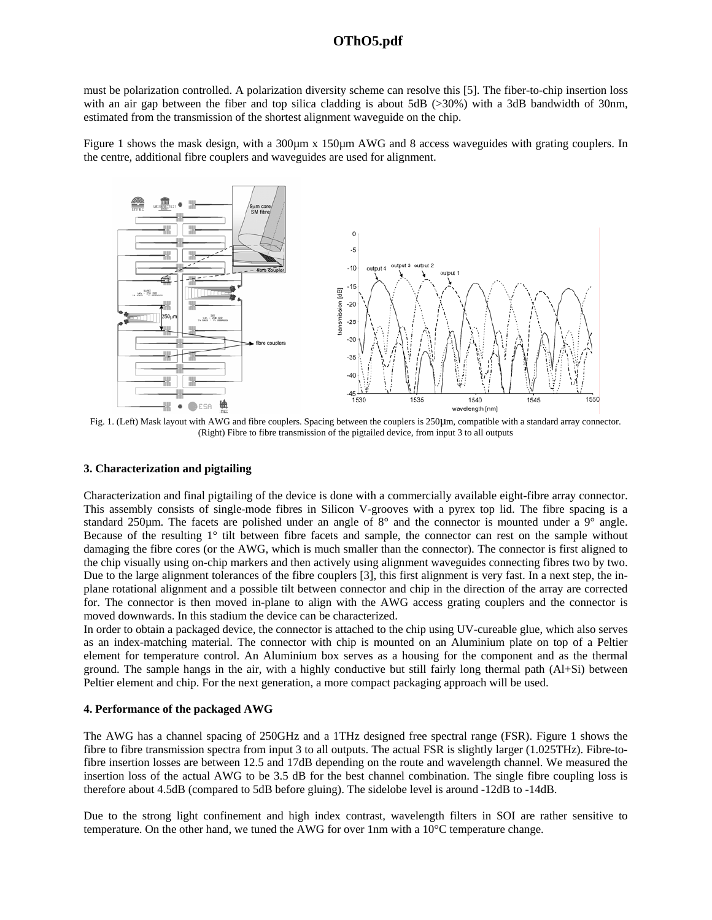# **OThO5.pdf 1720**

must be polarization controlled. A polarization diversity scheme can resolve this [5]. The fiber-to-chip insertion loss with an air gap between the fiber and top silica cladding is about 5dB (>30%) with a 3dB bandwidth of 30nm, estimated from the transmission of the shortest alignment waveguide on the chip.

Figure 1 shows the mask design, with a 300 $\mu$ m x 150 $\mu$ m AWG and 8 access waveguides with grating couplers. In the centre, additional fibre couplers and waveguides are used for alignment.



(Right) Fibre to fibre transmission of the pigtailed device, from input 3 to all outputs

# **3. Characterization and pigtailing**

Characterization and final pigtailing of the device is done with a commercially available eight-fibre array connector. This assembly consists of single-mode fibres in Silicon V-grooves with a pyrex top lid. The fibre spacing is a standard 250µm. The facets are polished under an angle of 8° and the connector is mounted under a 9° angle. Because of the resulting 1° tilt between fibre facets and sample, the connector can rest on the sample without damaging the fibre cores (or the AWG, which is much smaller than the connector). The connector is first aligned to the chip visually using on-chip markers and then actively using alignment waveguides connecting fibres two by two. Due to the large alignment tolerances of the fibre couplers [3], this first alignment is very fast. In a next step, the inplane rotational alignment and a possible tilt between connector and chip in the direction of the array are corrected for. The connector is then moved in-plane to align with the AWG access grating couplers and the connector is moved downwards. In this stadium the device can be characterized.

In order to obtain a packaged device, the connector is attached to the chip using UV-cureable glue, which also serves as an index-matching material. The connector with chip is mounted on an Aluminium plate on top of a Peltier element for temperature control. An Aluminium box serves as a housing for the component and as the thermal ground. The sample hangs in the air, with a highly conductive but still fairly long thermal path (Al+Si) between Peltier element and chip. For the next generation, a more compact packaging approach will be used.

# **4. Performance of the packaged AWG**

The AWG has a channel spacing of 250GHz and a 1THz designed free spectral range (FSR). Figure 1 shows the fibre to fibre transmission spectra from input 3 to all outputs. The actual FSR is slightly larger (1.025THz). Fibre-tofibre insertion losses are between 12.5 and 17dB depending on the route and wavelength channel. We measured the insertion loss of the actual AWG to be 3.5 dB for the best channel combination. The single fibre coupling loss is therefore about 4.5dB (compared to 5dB before gluing). The sidelobe level is around -12dB to -14dB.

Due to the strong light confinement and high index contrast, wavelength filters in SOI are rather sensitive to temperature. On the other hand, we tuned the AWG for over 1nm with a 10°C temperature change.